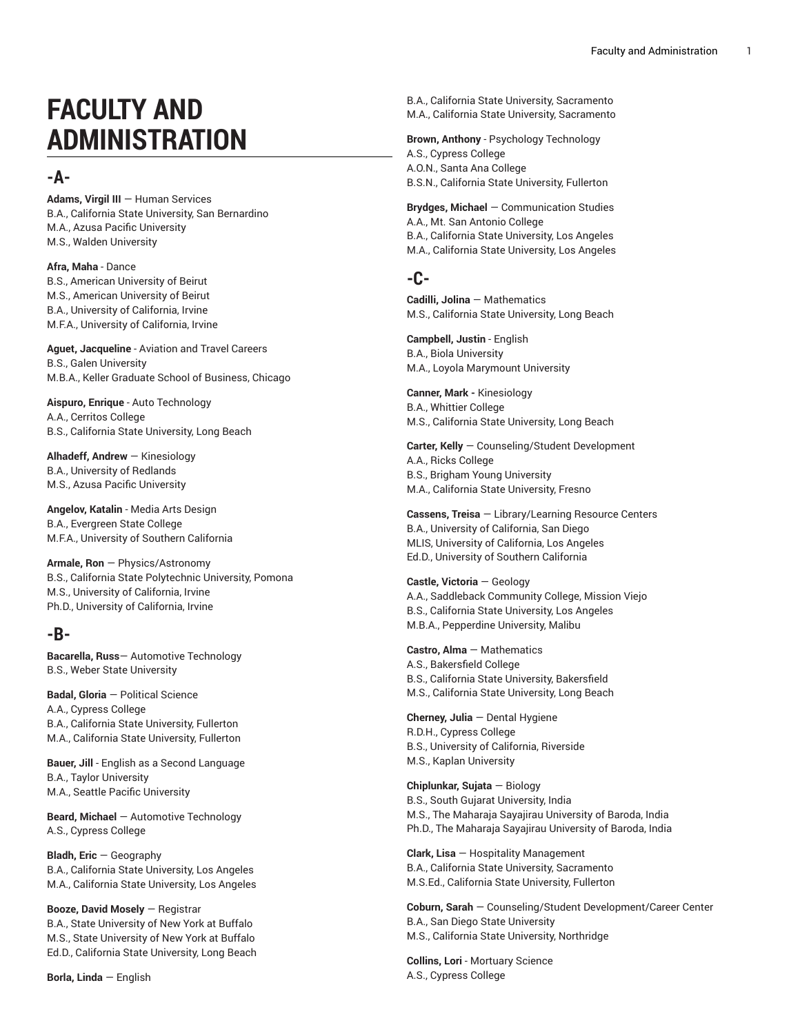# **FACULTY AND ADMINISTRATION**

# **-A-**

**Adams, Virgil III —** Human Services B.A., California State University, San Bernardino M.A., Azusa Pacific University M.S., Walden University

**Afra, Maha** - Dance B.S., American University of Beirut M.S., American University of Beirut B.A., University of California, Irvine M.F.A., University of California, Irvine

**Aguet, Jacqueline** - Aviation and Travel Careers B.S., Galen University M.B.A., Keller Graduate School of Business, Chicago ,

**Aispuro, Enrique** - Auto Technology A.A., Cerritos College B.S., California State University, Long Beach

**Alhadeff, Andrew** — Kinesiology B.A., University of Redlands M.S., Azusa Pacific University

**Angelov, Katalin** - Media Arts De sig n B.A., Evergreen State College M.F.A., University of Southern California

**Armale, Ron** — Physics/Astronomy B.S., California State Polytechnic University, Pomona M.S., University of California, Irvine Ph.D., University of California, Irvine

# **-B-**

**Bacarella, Russ** – Automotive Technology B.S., Weber State University

**Badal, Gloria** – Political Science A.A., Cypress College B.A., California State University, Fullerton M.A., California State University, Fullerton

**B a u e r, J i l l** - English as a Second Language B.A., Taylor University M.A., Seattle Pacific University

**Beard, Michael** – Automotive Technology A.S., Cypress College

**Bladh, Eric** — Geography B.A., California State University, Los Angeles M.A., California State University, Los Angeles

**B o o z e , D a v i d M o s e l y** — Registrar B.A., State University of New York at Buffalo

M.S., State University of New York at Buffalo Ed.D., California State University, Long Beach

**Borla, Linda** — English

B.A., California State University, Sacramento M.A., California State University, Sacramento

**Brown, Anthony** - Psychology Technology A.S., Cypress College A.O.N., Santa Ana College B.S.N., California State University, Fullerton

**B r y d g e s , M i c h a e l** — Communication Studies A.A., Mt. San Antonio College B.A., California State University, Los Angeles M.A., California State University, Los Angeles

# **-C-**

**Cadilli, Jolina** — Mathematics M.S., California State University, Long Beach

**Campbell, Justin** - English B.A., Biola University M.A., Loyola Marymount University

**C a n n e r, M a r k -** Kinesiology B.A., Whittier College M.S., California State University, Long Beach

**Carter, Kelly** — Counseling/Student Development A.A., Ricks College B.S., Brigham Young University M.A., California State University, Fresno

**Cassens, Treisa** — Library/Learning Resource Centers B.A., University of California, San Diego , MLIS, University of California, Los Angeles , , Ed.D., University of Southern California

#### **Castle, Victoria** — Geology

A.A., Saddleback Community College, Mission Viejo B.S., California State University, Los Angeles M.B.A., Pepperdine University, Malibu

**Castro, Alma** — Mathematics A.S., Bakersfield College B.S., California State University, Bakersfield M.S., California State University, Long Beach

**Cherney, Julia** – Dental Hygiene R.D.H., Cypress College B.S., University of California, Riverside , M.S., Kaplan University

**Chiplunkar, Sujata** — Biology B.S., South Gujarat University, India M.S., The Maharaja Sayajirau University of Baroda, India Ph.D., The Maharaja Sayajirau University of Baroda, India

**Clark, Lisa** — Hospitality Management B.A., California State University, Sacramento M.S.Ed., California State University, Fullerton

Coburn, Sarah – Counseling/Student Development/Career Center B.A., San Diego State University M.S., California State University, Northridge

**Collins, Lori** - Mortuary Science A.S., Cypress College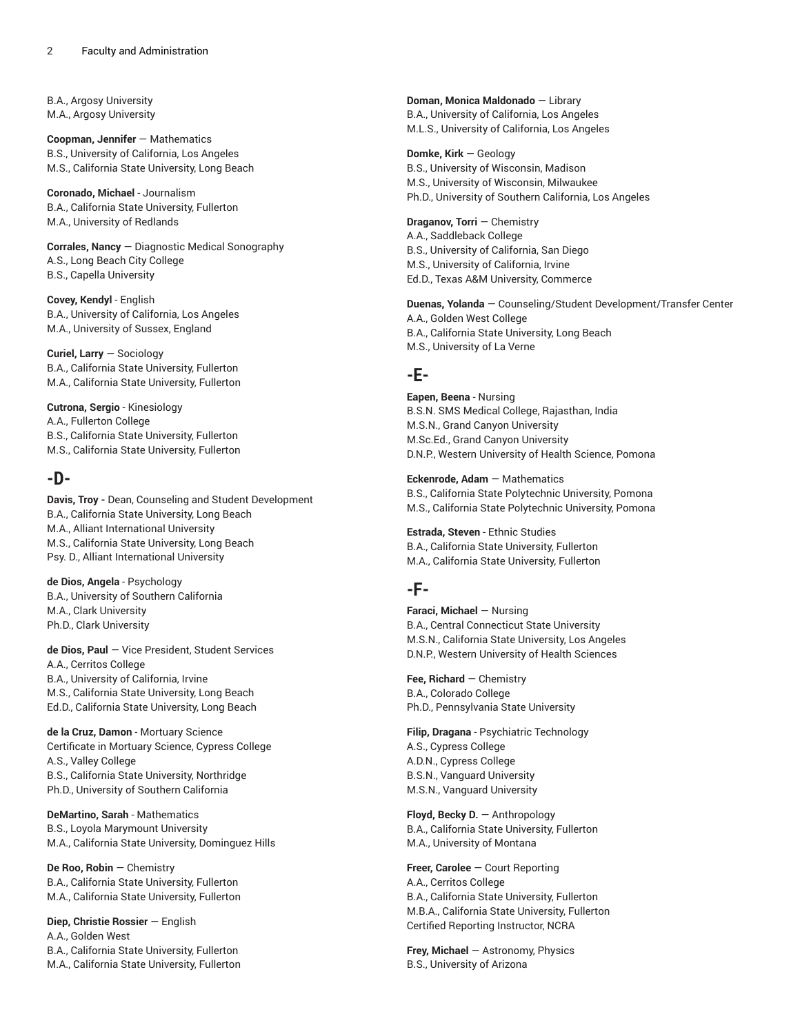B.A., Argosy University M.A., Argosy University

**Coopman, Jennifer** — Mathematics B.S., University of California, Los Angeles M.S., California State University, Long Beach

**Coronado, Michael** - Journalism B.A., California State University, Fullerton M.A., University of Redlands

**Corrales, Nancy** — Diagnostic Medical Sonography A.S., Long Beach City College B.S., Capella University

**Covey, Kendyl** - English B.A., University of California, Los Angeles M.A., University of Sussex, England

**Curiel, Larry** — Sociology B.A., California State University, Fullerton M.A., California State University, Fullerton

**Cutrona, Sergio** - Kinesiology A.A., Fullerton College B.S., California State University, Fullerton M.S., California State University, Fullerton

# **-D-**

**Davis, Troy -** Dean, Counseling and Student Development B.A., California State University, Long Beach M.A., Alliant International University M.S., California State University, Long Beach Psy. D., Alliant International University

**de Dios, Angela** - Psychology B.A., University of Southern California M.A., Clark University Ph.D., Clark University

**de Dios, Paul** — Vice President, Student Services A.A., Cerritos College B.A., University of California, Irvine M.S., California State University, Long Beach Ed.D., California State University, Long Beach

**de la Cruz, Damon** - Mortuary Science Certificate in Mortuary Science, Cypress College A.S., Valley College B.S., California State University, Northridge Ph.D., University of Southern California

**DeMartino, Sarah** - Mathematics B.S., Loyola Marymount University M.A., California State University, Dominguez Hills

**De Roo, Robin** — Chemistry B.A., California State University, Fullerton M.A., California State University, Fullerton

**Diep, Christie Rossier** — English A.A., Golden West B.A., California State University, Fullerton M.A., California State University, Fullerton

**Doman, Monica Maldonado** — Library B.A., University of California, Los Angeles M.L.S., University of California, Los Angeles

**Domke, Kirk** — Geology B.S., University of Wisconsin, Madison M.S., University of Wisconsin, Milwaukee Ph.D., University of Southern California, Los Angeles

**Draganov, Torri** — Chemistry A.A., Saddleback College B.S., University of California, San Diego M.S., University of California, Irvine Ed.D., Texas A&M University, Commerce

**Duenas, Yolanda** — Counseling/Student Development/Transfer Center A.A., Golden West College B.A., California State University, Long Beach M.S., University of La Verne

# **-E-**

**Eapen, Beena** - Nursing B.S.N. SMS Medical College, Rajasthan, India M.S.N., Grand Canyon University M.Sc.Ed., Grand Canyon University D.N.P., Western University of Health Science, Pomona

**Eckenrode, Adam** — Mathematics B.S., California State Polytechnic University, Pomona M.S., California State Polytechnic University, Pomona

**Estrada, Steven** - Ethnic Studies B.A., California State University, Fullerton M.A., California State University, Fullerton

# **-F-**

**Faraci, Michael** — Nursing B.A., Central Connecticut State University M.S.N., California State University, Los Angeles D.N.P., Western University of Health Sciences

**Fee, Richard** — Chemistry B.A., Colorado College Ph.D., Pennsylvania State University

**Filip, Dragana** - Psychiatric Technology A.S., Cypress College A.D.N., Cypress College B.S.N., Vanguard University M.S.N., Vanguard University

**Floyd, Becky D.** — Anthropology B.A., California State University, Fullerton M.A., University of Montana

**Freer, Carolee** — Court Reporting A.A., Cerritos College B.A., California State University, Fullerton M.B.A., California State University, Fullerton Certified Reporting Instructor, NCRA

**Frey, Michael** — Astronomy, Physics B.S., University of Arizona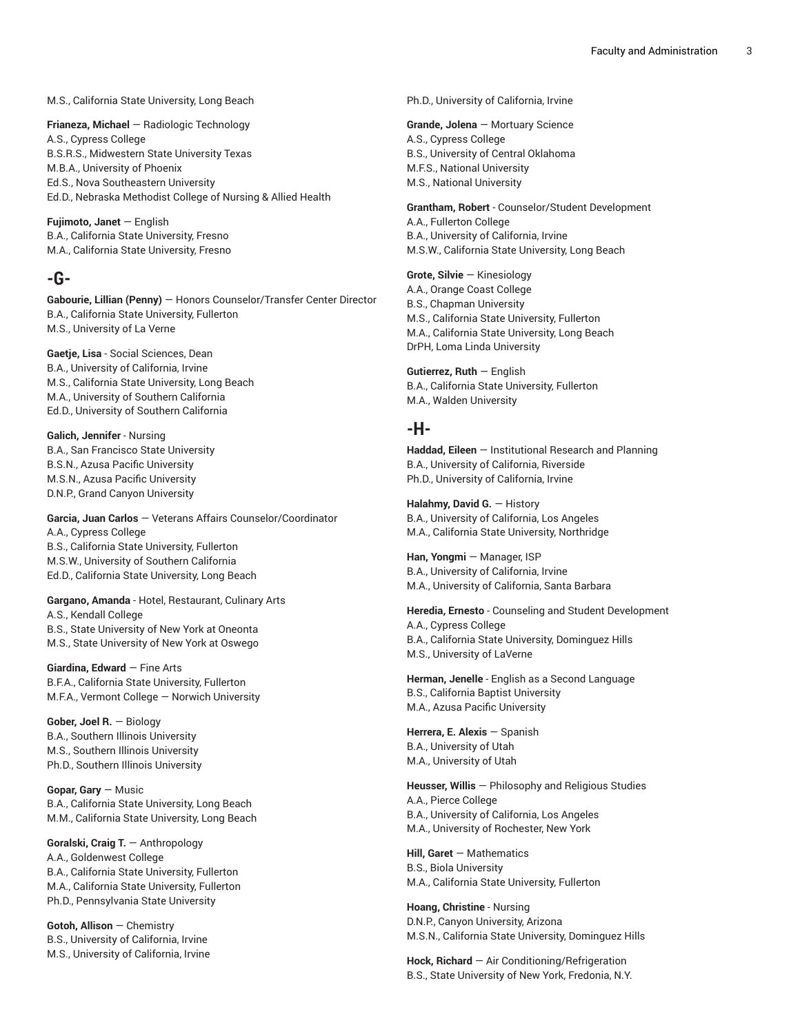M.S., California State University, Long Beach

**Frianeza, Michael** — Radiologic Technology A.S., Cypress College B.S.R.S., Midwestern State University Texas M.B.A., University of Phoenix Ed.S., Nova Southeastern University Ed.D., Nebraska Methodist College of Nursing & Allied Health

**Fujimoto, Janet** — English B.A., California State University, Fresno M.A., California State University, Fresno

# **-G-**

**Gabourie, Lillian (Penny)** — Honors Counselor/Transfer Center Director B.A., California State University, Fullerton M.S., University of La Verne

**Gaetje, Lisa** - Social Sciences, Dean B.A., University of California, Irvine M.S., California State University, Long Beach M.A., University of Southern California Ed.D., University of Southern California

**Galich, Jennifer** - Nursing B.A., San Francisco State University B.S.N., Azusa Pacific University M.S.N., Azusa Pacific University D.N.P., Grand Canyon University

**Garcia, Juan Carlos** — Veterans Affairs Counselor/Coordinator A.A., Cypress College B.S., California State University, Fullerton M.S.W., University of Southern California Ed.D., California State University, Long Beach

**Gargano, Amanda** - Hotel, Restaurant, Culinary Arts A.S., Kendall College B.S., State University of New York at Oneonta M.S., State University of New York at Oswego

**Giardina, Edward** — Fine Arts B.F.A., California State University, Fullerton M.F.A., Vermont College — Norwich University

**Gober, Joel R.** — Biology B.A., Southern Illinois University M.S., Southern Illinois University Ph.D., Southern Illinois University

**Gopar, Gary** — Music B.A., California State University, Long Beach M.M., California State University, Long Beach

**Goralski, Craig T.** — Anthropology A.A., Goldenwest College B.A., California State University, Fullerton M.A., California State University, Fullerton Ph.D., Pennsylvania State University

**Gotoh, Allison** — Chemistry B.S., University of California, Irvine M.S., University of California, Irvine Ph.D., University of California, Irvine

**Grande, Jolena** — Mortuary Science A.S., Cypress College B.S., University of Central Oklahoma M.F.S., National University M.S., National University

**Grantham, Robert** - Counselor/Student Development A.A., Fullerton College B.A., University of California, Irvine M.S.W., California State University, Long Beach

**Grote, Silvie** — Kinesiology A.A., Orange Coast College B.S., Chapman University M.S., California State University, Fullerton M.A., California State University, Long Beach DrPH, Loma Linda University

**Gutierrez, Ruth** — English B.A., California State University, Fullerton M.A., Walden University

# **-H-**

**Haddad, Eileen** — Institutional Research and Planning B.A., University of California, Riverside Ph.D., University of California, Irvine

**Halahmy, David G.** — History B.A., University of California, Los Angeles M.A., California State University, Northridge

**Han, Yongmi** — Manager, ISP B.A., University of California, Irvine M.A., University of California, Santa Barbara

**Heredia, Ernesto** - Counseling and Student Development A.A., Cypress College B.A., California State University, Dominguez Hills M.S., University of LaVerne

**Herman, Jenelle** - English as a Second Language B.S., California Baptist University M.A., Azusa Pacific University

**Herrera, E. Alexis** — Spanish B.A., University of Utah M.A., University of Utah

**Heusser, Willis** — Philosophy and Religious Studies A.A., Pierce College B.A., University of California, Los Angeles M.A., University of Rochester, New York

**Hill, Garet** — Mathematics B.S., Biola University M.A., California State University, Fullerton

**Hoang, Christine** - Nursing D.N.P., Canyon University, Arizona M.S.N., California State University, Dominguez Hills

**Hock, Richard** — Air Conditioning/Refrigeration B.S., State University of New York, Fredonia, N.Y.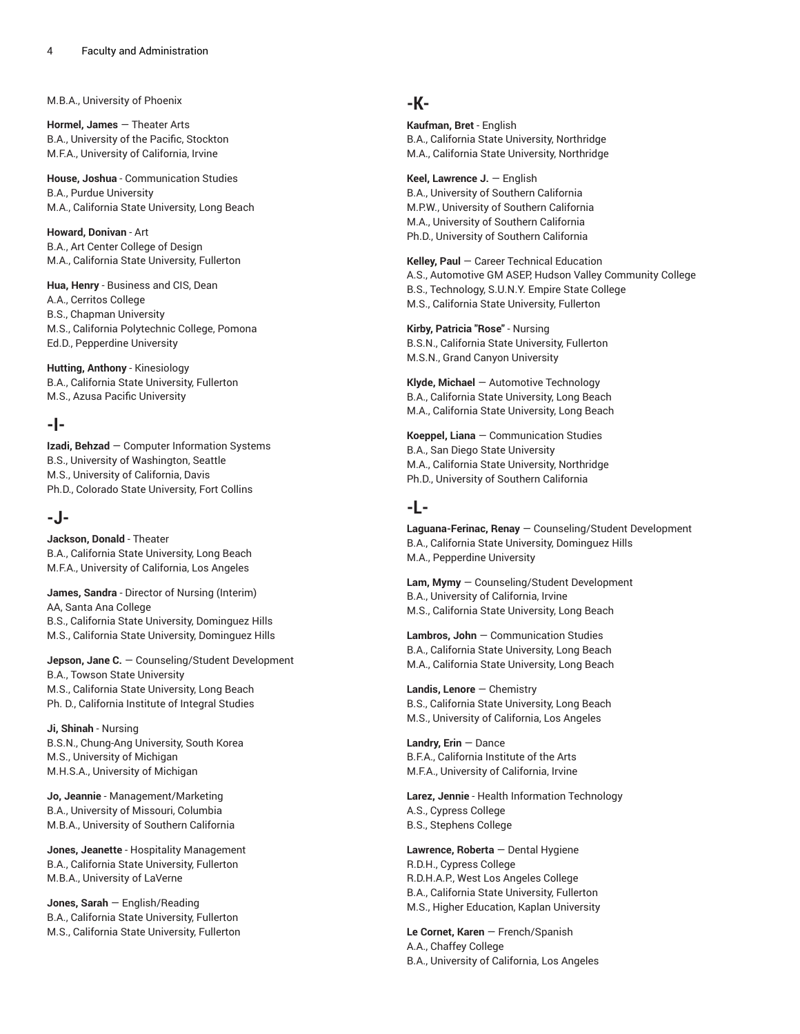M.B.A., University of Phoenix

**Hormel, James** — Theater Arts B.A., University of the Pacific, Stockton M.F.A., University of California, Irvine

**House, Joshua** - Communication Studies B.A., Purdue University M.A., California State University, Long Beach

**Howard, Donivan** - Art B.A., Art Center College of Design M.A., California State University, Fullerton

**Hua, Henry** - Business and CIS, Dean A.A., Cerritos College B.S., Chapman University M.S., California Polytechnic College, Pomona Ed.D., Pepperdine University

**Hutting, Anthony** - Kinesiology B.A., California State University, Fullerton M.S., Azusa Pacific University

# **-I-**

**Izadi, Behzad** — Computer Information Systems B.S., University of Washington, Seattle M.S., University of California, Davis Ph.D., Colorado State University, Fort Collins

# **-J-**

**Jackson, Donald** - Theater B.A., California State University, Long Beach M.F.A., University of California, Los Angeles

**James, Sandra** - Director of Nursing (Interim) AA, Santa Ana College B.S., California State University, Dominguez Hills M.S., California State University, Dominguez Hills

**Jepson, Jane C.** — Counseling/Student Development B.A., Towson State University M.S., California State University, Long Beach Ph. D., California Institute of Integral Studies

**Ji, Shinah** - Nursing B.S.N., Chung-Ang University, South Korea M.S., University of Michigan M.H.S.A., University of Michigan

**Jo, Jeannie** - Management/Marketing B.A., University of Missouri, Columbia M.B.A., University of Southern California

**Jones, Jeanette** - Hospitality Management B.A., California State University, Fullerton M.B.A., University of LaVerne

**Jones, Sarah** — English/Reading B.A., California State University, Fullerton M.S., California State University, Fullerton

# **-K-**

**Kaufman, Bret** - English B.A., California State University, Northridge M.A., California State University, Northridge

**Keel, Lawrence J.** — English B.A., University of Southern California M.P.W., University of Southern California M.A., University of Southern California Ph.D., University of Southern California

**Kelley, Paul** — Career Technical Education A.S., Automotive GM ASEP, Hudson Valley Community College B.S., Technology, S.U.N.Y. Empire State College M.S., California State University, Fullerton

**Kirby, Patricia "Rose"** - Nursing B.S.N., California State University, Fullerton M.S.N., Grand Canyon University

**Klyde, Michael** — Automotive Technology B.A., California State University, Long Beach M.A., California State University, Long Beach

**Koeppel, Liana** — Communication Studies B.A., San Diego State University M.A., California State University, Northridge Ph.D., University of Southern California

# **-L-**

**Laguana-Ferinac, Renay** — Counseling/Student Development B.A., California State University, Dominguez Hills M.A., Pepperdine University

**Lam, Mymy** — Counseling/Student Development B.A., University of California, Irvine M.S., California State University, Long Beach

**Lambros, John** — Communication Studies B.A., California State University, Long Beach M.A., California State University, Long Beach

**Landis, Lenore** — Chemistry B.S., California State University, Long Beach M.S., University of California, Los Angeles

**Landry, Erin** — Dance B.F.A., California Institute of the Arts M.F.A., University of California, Irvine

**Larez, Jennie** - Health Information Technology A.S., Cypress College B.S., Stephens College

**Lawrence, Roberta** — Dental Hygiene R.D.H., Cypress College R.D.H.A.P., West Los Angeles College B.A., California State University, Fullerton M.S., Higher Education, Kaplan University

**Le Cornet, Karen** — French/Spanish A.A., Chaffey College B.A., University of California, Los Angeles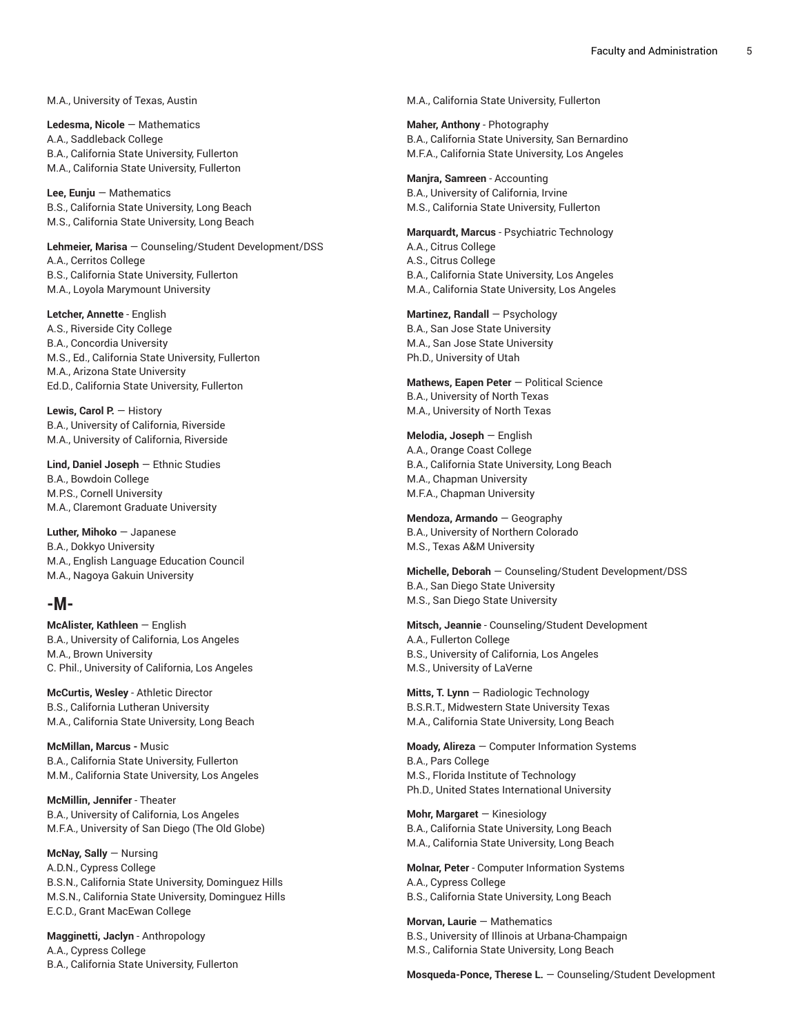M.A., University of Texas, Austin

**Ledesma, Nicole** — Mathematics A.A., Saddleback College B.A., California State University, Fullerton M.A., California State University, Fullerton

**Lee, Eunju** — Mathematics B.S., California State University, Long Beach M.S., California State University, Long Beach

**Lehmeier, Marisa** — Counseling/Student Development/DSS A.A., Cerritos College B.S., California State University, Fullerton M.A., Loyola Marymount University

**Letcher, Annette** - English A.S., Riverside City College B.A., Concordia University M.S., Ed., California State University, Fullerton M.A., Arizona State University Ed.D., California State University, Fullerton

**Lewis, Carol P.** — History B.A., University of California, Riverside M.A., University of California, Riverside

**Lind, Daniel Joseph** — Ethnic Studies B.A., Bowdoin College M.P.S., Cornell University M.A., Claremont Graduate University

**Luther, Mihoko** — Japanese B.A., Dokkyo University M.A., English Language Education Council M.A., Nagoya Gakuin University

#### **-M-**

**McAlister, Kathleen** — English B.A., University of California, Los Angeles M.A., Brown University C. Phil., University of California, Los Angeles

**McCurtis, Wesley** - Athletic Director B.S., California Lutheran University M.A., California State University, Long Beach

**McMillan, Marcus -** Music B.A., California State University, Fullerton M.M., California State University, Los Angeles

**McMillin, Jennifer** - Theater B.A., University of California, Los Angeles M.F.A., University of San Diego (The Old Globe)

**McNay, Sally** — Nursing A.D.N., Cypress College B.S.N., California State University, Dominguez Hills M.S.N., California State University, Dominguez Hills E.C.D., Grant MacEwan College

**Magginetti, Jaclyn** - Anthropology A.A., Cypress College B.A., California State University, Fullerton M.A., California State University, Fullerton

**Maher, Anthony** - Photography B.A., California State University, San Bernardino M.F.A., California State University, Los Angeles

**Manjra, Samreen** - Accounting B.A., University of California, Irvine M.S., California State University, Fullerton

**Marquardt, Marcus** - Psychiatric Technology A.A., Citrus College A.S., Citrus College B.A., California State University, Los Angeles M.A., California State University, Los Angeles

**Martinez, Randall** — Psychology B.A., San Jose State University M.A., San Jose State University Ph.D., University of Utah

**Mathews, Eapen Peter** — Political Science B.A., University of North Texas M.A., University of North Texas

**Melodia, Joseph** — English A.A., Orange Coast College B.A., California State University, Long Beach M.A., Chapman University M.F.A., Chapman University

**Mendoza, Armando** — Geography B.A., University of Northern Colorado M.S., Texas A&M University

**Michelle, Deborah** — Counseling/Student Development/DSS B.A., San Diego State University M.S., San Diego State University

**Mitsch, Jeannie** - Counseling/Student Development A.A., Fullerton College B.S., University of California, Los Angeles M.S., University of LaVerne

**Mitts, T. Lynn** — Radiologic Technology B.S.R.T., Midwestern State University Texas M.A., California State University, Long Beach

**Moady, Alireza** — Computer Information Systems B.A., Pars College M.S., Florida Institute of Technology Ph.D., United States International University

**Mohr, Margaret** — Kinesiology B.A., California State University, Long Beach M.A., California State University, Long Beach

**Molnar, Peter** - Computer Information Systems A.A., Cypress College B.S., California State University, Long Beach

**Morvan, Laurie** — Mathematics B.S., University of Illinois at Urbana-Champaign M.S., California State University, Long Beach

**Mosqueda-Ponce, Therese L.** — Counseling/Student Development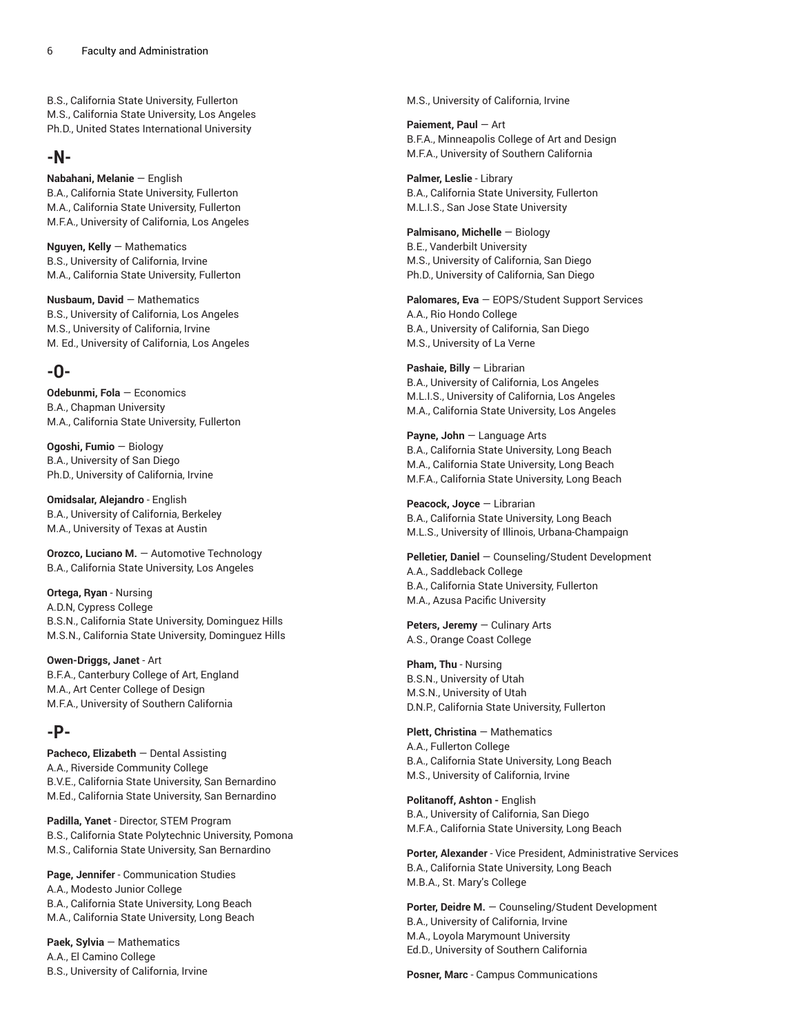B.S., California State University, Fullerton M.S., California State University, Los Angeles Ph.D., United States International University

# **-N-**

**Nabahani, Melanie** — English B.A., California State University, Fullerton M.A., California State University, Fullerton M.F.A., University of California, Los Angeles

**Nguyen, Kelly** — Mathematics B.S., University of California, Irvine M.A., California State University, Fullerton

**Nusbaum, David** — Mathematics B.S., University of California, Los Angeles M.S., University of California, Irvine M. Ed., University of California, Los Angeles

# **-O-**

**Odebunmi, Fola** — Economics B.A., Chapman University M.A., California State University, Fullerton

**Ogoshi, Fumio** — Biology B.A., University of San Diego Ph.D., University of California, Irvine

**Omidsalar, Alejandro** - English B.A., University of California, Berkeley M.A., University of Texas at Austin

**Orozco, Luciano M.** — Automotive Technology B.A., California State University, Los Angeles

**Ortega, Ryan** - Nursing A.D.N, Cypress College B.S.N., California State University, Dominguez Hills M.S.N., California State University, Dominguez Hills

**Owen-Driggs, Janet** - Art B.F.A., Canterbury College of Art, England M.A., Art Center College of Design M.F.A., University of Southern California

# **-P-**

**Pacheco, Elizabeth** — Dental Assisting A.A., Riverside Community College B.V.E., California State University, San Bernardino M.Ed., California State University, San Bernardino

**Padilla, Yanet** - Director, STEM Program B.S., California State Polytechnic University, Pomona M.S., California State University, San Bernardino

**Page, Jennifer** - Communication Studies A.A., Modesto Junior College B.A., California State University, Long Beach M.A., California State University, Long Beach

**Paek, Sylvia** — Mathematics A.A., El Camino College B.S., University of California, Irvine M.S., University of California, Irvine

**Paiement, Paul** — Art B.F.A., Minneapolis College of Art and Design M.F.A., University of Southern California

**Palmer, Leslie** - Library B.A., California State University, Fullerton M.L.I.S., San Jose State University

**Palmisano, Michelle** — Biology B.E., Vanderbilt University M.S., University of California, San Diego Ph.D., University of California, San Diego

**Palomares, Eva** — EOPS/Student Support Services A.A., Rio Hondo College B.A., University of California, San Diego M.S., University of La Verne

**Pashaie, Billy** — Librarian B.A., University of California, Los Angeles M.L.I.S., University of California, Los Angeles M.A., California State University, Los Angeles

**Payne, John** — Language Arts B.A., California State University, Long Beach M.A., California State University, Long Beach M.F.A., California State University, Long Beach

**Peacock, Joyce** — Librarian B.A., California State University, Long Beach M.L.S., University of Illinois, Urbana-Champaign

**Pelletier, Daniel** — Counseling/Student Development A.A., Saddleback College B.A., California State University, Fullerton M.A., Azusa Pacific University

**Peters, Jeremy** — Culinary Arts A.S., Orange Coast College

**Pham, Thu** - Nursing B.S.N., University of Utah M.S.N., University of Utah D.N.P., California State University, Fullerton

**Plett, Christina** — Mathematics A.A., Fullerton College B.A., California State University, Long Beach M.S., University of California, Irvine

**Politanoff, Ashton -** English B.A., University of California, San Diego M.F.A., California State University, Long Beach

**Porter, Alexander** - Vice President, Administrative Services B.A., California State University, Long Beach M.B.A., St. Mary's College

**Porter, Deidre M.** — Counseling/Student Development B.A., University of California, Irvine M.A., Loyola Marymount University Ed.D., University of Southern California

**Posner, Marc** - Campus Communications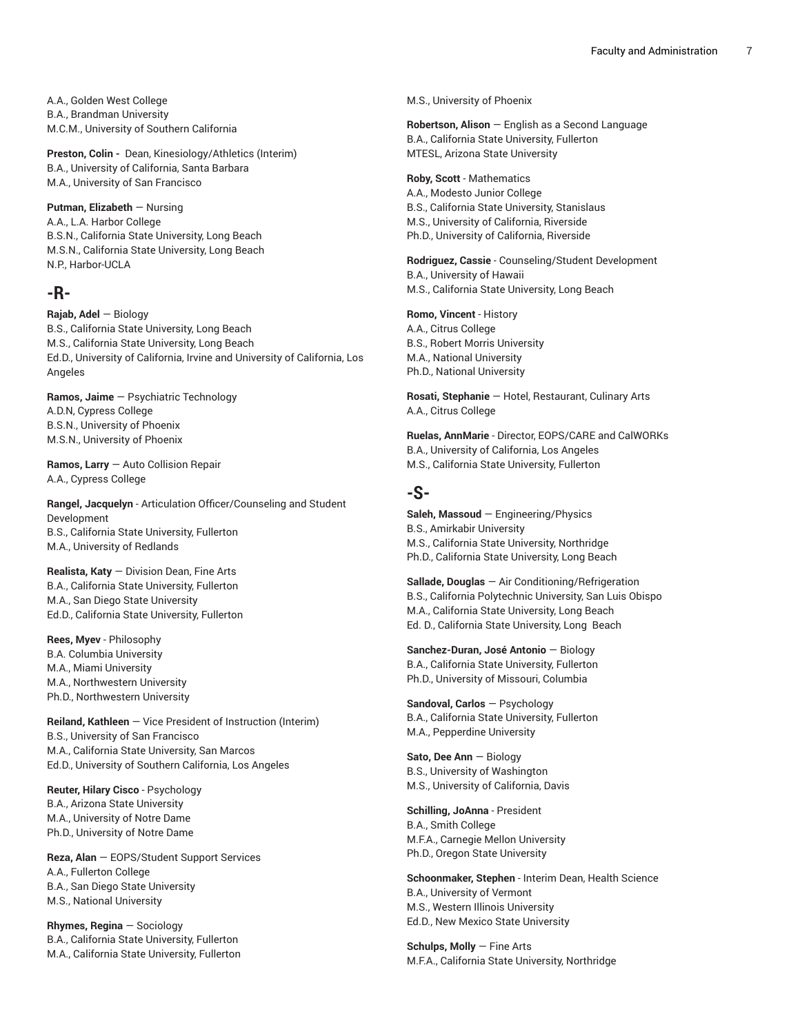A.A., Golden West College B.A., Brandman University M.C.M., University of Southern California

Preston, Colin - Dean, Kinesiology/Athletics (Interim) B.A., University of California, Santa Barbara M.A., University of San Francisco

#### **Putman, Elizabeth** — Nursing

A.A., L.A. Harbor College B.S.N., California State University, Long Beach M.S.N., California State University, Long Beach N.P., Harbor-UCLA

#### **-R-**

#### **Rajab, Adel** — Biology

B.S., California State University, Long Beach M.S., California State University, Long Beach Ed.D., University of California, Irvine and University of California, Los Angeles

**Ramos, Jaime** — Psychiatric Technology A.D.N, Cypress College B.S.N., University of Phoenix M.S.N., University of Phoenix

**Ramos, Larry** — Auto Collision Repair A.A., Cypress College

**Rangel, Jacquelyn** - Articulation Officer/Counseling and Student Development B.S., California State University, Fullerton M.A., University of Redlands

**Realista, Katy** — Division Dean, Fine Arts B.A., California State University, Fullerton M.A., San Diego State University Ed.D., California State University, Fullerton

**Rees, Myev** - Philosophy B.A. Columbia University M.A., Miami University M.A., Northwestern University Ph.D., Northwestern University

**Reiland, Kathleen** — Vice President of Instruction (Interim) B.S., University of San Francisco M.A., California State University, San Marcos Ed.D., University of Southern California, Los Angeles

**Reuter, Hilary Cisco** - Psychology B.A., Arizona State University M.A., University of Notre Dame Ph.D., University of Notre Dame

**Reza, Alan** — EOPS/Student Support Services A.A., Fullerton College B.A., San Diego State University M.S., National University

**Rhymes, Regina** — Sociology B.A., California State University, Fullerton M.A., California State University, Fullerton M.S., University of Phoenix

**Robertson, Alison** — English as a Second Language B.A., California State University, Fullerton MTESL, Arizona State University

#### **Roby, Scott** - Mathematics

A.A., Modesto Junior College B.S., California State University, Stanislaus M.S., University of California, Riverside Ph.D., University of California, Riverside

**Rodriguez, Cassie** - Counseling/Student Development B.A., University of Hawaii M.S., California State University, Long Beach

**Romo, Vincent** - History A.A., Citrus College B.S., Robert Morris University M.A., National University Ph.D., National University

**Rosati, Stephanie** — Hotel, Restaurant, Culinary Arts A.A., Citrus College

**Ruelas, AnnMarie** - Director, EOPS/CARE and CalWORKs B.A., University of California, Los Angeles M.S., California State University, Fullerton

### **-S-**

**Saleh, Massoud** — Engineering/Physics B.S., Amirkabir University M.S., California State University, Northridge Ph.D., California State University, Long Beach

**Sallade, Douglas** — Air Conditioning/Refrigeration B.S., California Polytechnic University, San Luis Obispo M.A., California State University, Long Beach Ed. D., California State University, Long Beach

**Sanchez-Duran, José Antonio** — Biology B.A., California State University, Fullerton Ph.D., University of Missouri, Columbia

**Sandoval, Carlos** — Psychology B.A., California State University, Fullerton M.A., Pepperdine University

**Sato, Dee Ann** — Biology B.S., University of Washington M.S., University of California, Davis

**Schilling, JoAnna** - President B.A., Smith College M.F.A., Carnegie Mellon University Ph.D., Oregon State University

**Schoonmaker, Stephen** - Interim Dean, Health Science B.A., University of Vermont M.S., Western Illinois University Ed.D., New Mexico State University

**Schulps, Molly** — Fine Arts M.F.A., California State University, Northridge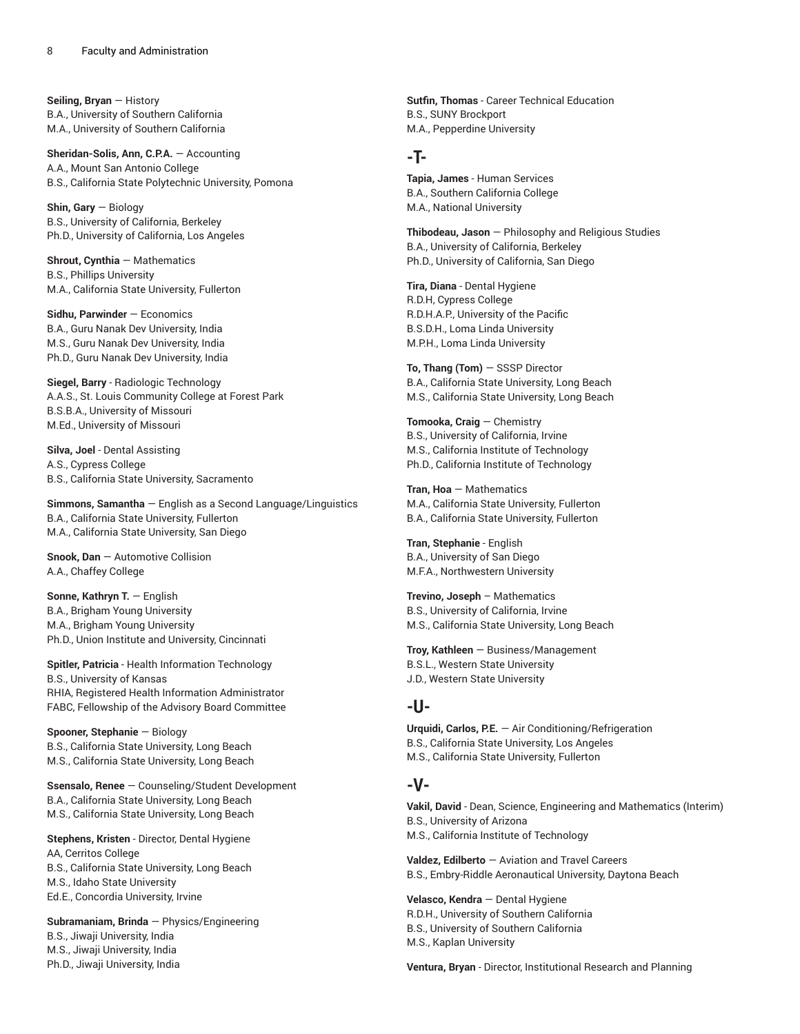**Seiling, Bryan** — History B.A., University of Southern California M.A., University of Southern California

**Sheridan-Solis, Ann, C.P.A.** — Accounting A.A., Mount San Antonio College B.S., California State Polytechnic University, Pomona

**Shin, Gary** — Biology B.S., University of California, Berkeley Ph.D., University of California, Los Angeles

**Shrout, Cynthia** — Mathematics B.S., Phillips University M.A., California State University, Fullerton

**Sidhu, Parwinder** — Economics B.A., Guru Nanak Dev University, India M.S., Guru Nanak Dev University, India Ph.D., Guru Nanak Dev University, India

**Siegel, Barry** - Radiologic Technology A.A.S., St. Louis Community College at Forest Park B.S.B.A., University of Missouri M.Ed., University of Missouri

**Silva, Joel** - Dental Assisting A.S., Cypress College B.S., California State University, Sacramento

**Simmons, Samantha** — English as a Second Language/Linguistics B.A., California State University, Fullerton M.A., California State University, San Diego

**Snook, Dan** — Automotive Collision A.A., Chaffey College

**Sonne, Kathryn T.** — English B.A., Brigham Young University M.A., Brigham Young University Ph.D., Union Institute and University, Cincinnati

**Spitler, Patricia** - Health Information Technology B.S., University of Kansas RHIA, Registered Health Information Administrator FABC, Fellowship of the Advisory Board Committee

**Spooner, Stephanie** — Biology B.S., California State University, Long Beach M.S., California State University, Long Beach

**Ssensalo, Renee** — Counseling/Student Development B.A., California State University, Long Beach M.S., California State University, Long Beach

**Stephens, Kristen** - Director, Dental Hygiene AA, Cerritos College B.S., California State University, Long Beach M.S., Idaho State University Ed.E., Concordia University, Irvine

**Subramaniam, Brinda** — Physics/Engineering B.S., Jiwaji University, India M.S., Jiwaji University, India Ph.D., Jiwaji University, India

**Sutfin, Thomas** - Career Technical Education B.S., SUNY Brockport M.A., Pepperdine University

### **-T-**

**Tapia, James** - Human Services B.A., Southern California College M.A., National University

**Thibodeau, Jason** — Philosophy and Religious Studies B.A., University of California, Berkeley Ph.D., University of California, San Diego

**Tira, Diana** - Dental Hygiene R.D.H, Cypress College R.D.H.A.P., University of the Pacific B.S.D.H., Loma Linda University M.P.H., Loma Linda University

**To, Thang (Tom)** — SSSP Director B.A., California State University, Long Beach M.S., California State University, Long Beach

**Tomooka, Craig** — Chemistry B.S., University of California, Irvine M.S., California Institute of Technology Ph.D., California Institute of Technology

**Tran, Hoa** — Mathematics M.A., California State University, Fullerton B.A., California State University, Fullerton

**Tran, Stephanie** - English B.A., University of San Diego M.F.A., Northwestern University

**Trevino, Joseph** – Mathematics B.S., University of California, Irvine M.S., California State University, Long Beach

**Troy, Kathleen** — Business/Management B.S.L., Western State University J.D., Western State University

#### **-U-**

**Urquidi, Carlos, P.E.** — Air Conditioning/Refrigeration B.S., California State University, Los Angeles M.S., California State University, Fullerton

#### **-V-**

**Vakil, David** - Dean, Science, Engineering and Mathematics (Interim) B.S., University of Arizona M.S., California Institute of Technology

**Valdez, Edilberto** — Aviation and Travel Careers B.S., Embry-Riddle Aeronautical University, Daytona Beach

**Velasco, Kendra** — Dental Hygiene R.D.H., University of Southern California B.S., University of Southern California M.S., Kaplan University

**Ventura, Bryan** - Director, Institutional Research and Planning